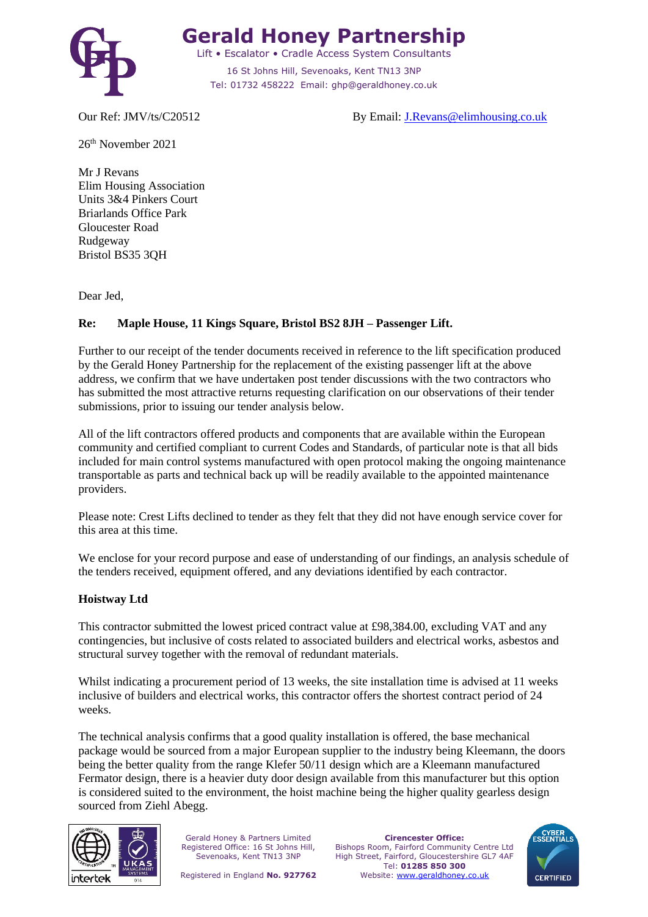

# **Gerald Honey Partnership**

Lift • Escalator • Cradle Access System Consultants 16 St Johns Hill, Sevenoaks, Kent TN13 3NP Tel: 01732 458222 Email: ghp@geraldhoney.co.uk

Our Ref: JMV/ts/C20512 By Email: [J.Revans@elimhousing.co.uk](mailto:J.Revans@elimhousing.co.uk)

26 th November 2021

Mr J Revans Elim Housing Association Units 3&4 Pinkers Court Briarlands Office Park Gloucester Road Rudgeway Bristol BS35 3QH

Dear Jed,

### **Re: Maple House, 11 Kings Square, Bristol BS2 8JH – Passenger Lift.**

Further to our receipt of the tender documents received in reference to the lift specification produced by the Gerald Honey Partnership for the replacement of the existing passenger lift at the above address, we confirm that we have undertaken post tender discussions with the two contractors who has submitted the most attractive returns requesting clarification on our observations of their tender submissions, prior to issuing our tender analysis below.

All of the lift contractors offered products and components that are available within the European community and certified compliant to current Codes and Standards, of particular note is that all bids included for main control systems manufactured with open protocol making the ongoing maintenance transportable as parts and technical back up will be readily available to the appointed maintenance providers.

Please note: Crest Lifts declined to tender as they felt that they did not have enough service cover for this area at this time.

We enclose for your record purpose and ease of understanding of our findings, an analysis schedule of the tenders received, equipment offered, and any deviations identified by each contractor.

#### **Hoistway Ltd**

This contractor submitted the lowest priced contract value at £98,384.00, excluding VAT and any contingencies, but inclusive of costs related to associated builders and electrical works, asbestos and structural survey together with the removal of redundant materials.

Whilst indicating a procurement period of 13 weeks, the site installation time is advised at 11 weeks inclusive of builders and electrical works, this contractor offers the shortest contract period of 24 weeks.

The technical analysis confirms that a good quality installation is offered, the base mechanical package would be sourced from a major European supplier to the industry being Kleemann, the doors being the better quality from the range Klefer 50/11 design which are a Kleemann manufactured Fermator design, there is a heavier duty door design available from this manufacturer but this option is considered suited to the environment, the hoist machine being the higher quality gearless design sourced from Ziehl Abegg.



Gerald Honey & Partners Limited Registered Office: 16 St Johns Hill, Sevenoaks, Kent TN13 3NP

**Cirencester Office:** Bishops Room, Fairford Community Centre Ltd High Street, Fairford, Gloucestershire GL7 4AF Tel: **01285 850 300** Website: [www.geraldhoney.co.uk](http://www.geraldhoney.co.uk/)

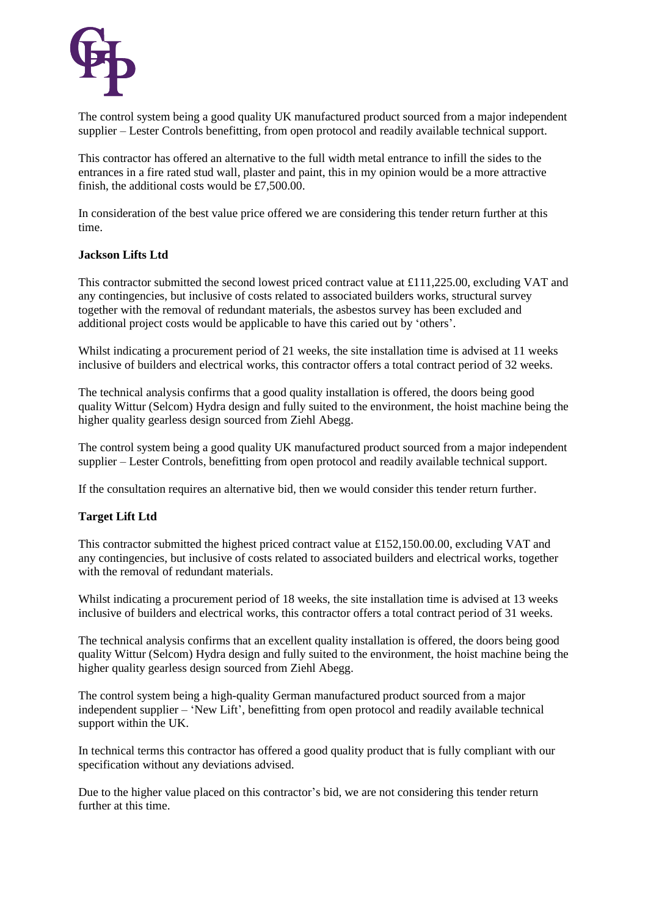

The control system being a good quality UK manufactured product sourced from a major independent supplier – Lester Controls benefitting, from open protocol and readily available technical support.

This contractor has offered an alternative to the full width metal entrance to infill the sides to the entrances in a fire rated stud wall, plaster and paint, this in my opinion would be a more attractive finish, the additional costs would be £7,500.00.

In consideration of the best value price offered we are considering this tender return further at this time.

#### **Jackson Lifts Ltd**

This contractor submitted the second lowest priced contract value at £111,225.00, excluding VAT and any contingencies, but inclusive of costs related to associated builders works, structural survey together with the removal of redundant materials, the asbestos survey has been excluded and additional project costs would be applicable to have this caried out by 'others'.

Whilst indicating a procurement period of 21 weeks, the site installation time is advised at 11 weeks inclusive of builders and electrical works, this contractor offers a total contract period of 32 weeks.

The technical analysis confirms that a good quality installation is offered, the doors being good quality Wittur (Selcom) Hydra design and fully suited to the environment, the hoist machine being the higher quality gearless design sourced from Ziehl Abegg.

The control system being a good quality UK manufactured product sourced from a major independent supplier – Lester Controls, benefitting from open protocol and readily available technical support.

If the consultation requires an alternative bid, then we would consider this tender return further.

#### **Target Lift Ltd**

This contractor submitted the highest priced contract value at £152,150.00.00, excluding VAT and any contingencies, but inclusive of costs related to associated builders and electrical works, together with the removal of redundant materials.

Whilst indicating a procurement period of 18 weeks, the site installation time is advised at 13 weeks inclusive of builders and electrical works, this contractor offers a total contract period of 31 weeks.

The technical analysis confirms that an excellent quality installation is offered, the doors being good quality Wittur (Selcom) Hydra design and fully suited to the environment, the hoist machine being the higher quality gearless design sourced from Ziehl Abegg.

The control system being a high-quality German manufactured product sourced from a major independent supplier – 'New Lift', benefitting from open protocol and readily available technical support within the UK.

In technical terms this contractor has offered a good quality product that is fully compliant with our specification without any deviations advised.

Due to the higher value placed on this contractor's bid, we are not considering this tender return further at this time.